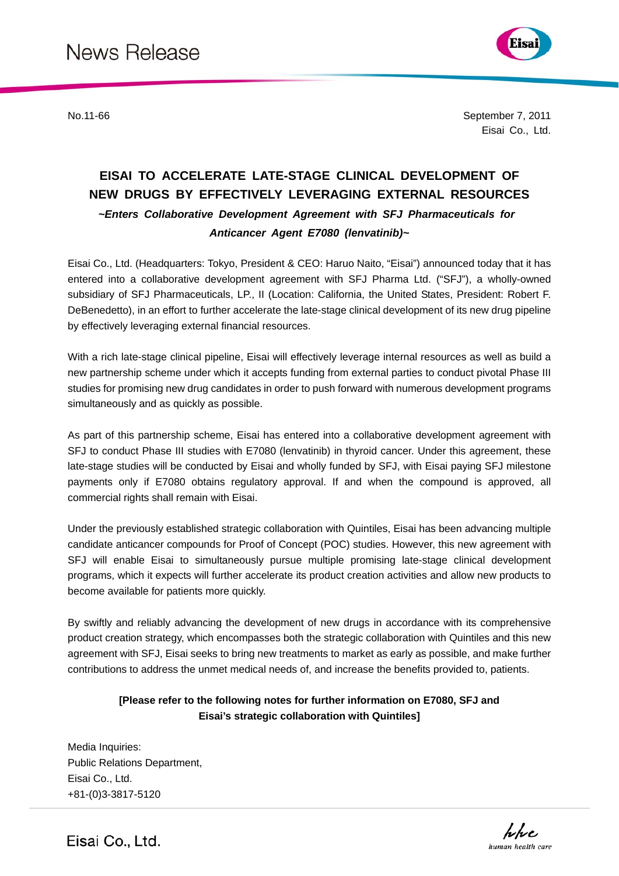

Eisai Co., Ltd. No.11-66 September 7, 2011

# **EISAI TO ACCELERATE LATE-STAGE CLINICAL DEVELOPMENT OF NEW DRUGS BY EFFECTIVELY LEVERAGING EXTERNAL RESOURCES**  *~Enters Collaborative Development Agreement with SFJ Pharmaceuticals for Anticancer Agent E7080 (lenvatinib)~*

Eisai Co., Ltd. (Headquarters: Tokyo, President & CEO: Haruo Naito, "Eisai") announced today that it has entered into a collaborative development agreement with SFJ Pharma Ltd. ("SFJ"), a wholly-owned subsidiary of SFJ Pharmaceuticals, LP., II (Location: California, the United States, President: Robert F. DeBenedetto), in an effort to further accelerate the late-stage clinical development of its new drug pipeline by effectively leveraging external financial resources.

With a rich late-stage clinical pipeline, Eisai will effectively leverage internal resources as well as build a new partnership scheme under which it accepts funding from external parties to conduct pivotal Phase III studies for promising new drug candidates in order to push forward with numerous development programs simultaneously and as quickly as possible.

As part of this partnership scheme, Eisai has entered into a collaborative development agreement with SFJ to conduct Phase III studies with E7080 (lenvatinib) in thyroid cancer. Under this agreement, these late-stage studies will be conducted by Eisai and wholly funded by SFJ, with Eisai paying SFJ milestone payments only if E7080 obtains regulatory approval. If and when the compound is approved, all commercial rights shall remain with Eisai.

Under the previously established strategic collaboration with Quintiles, Eisai has been advancing multiple candidate anticancer compounds for Proof of Concept (POC) studies. However, this new agreement with SFJ will enable Eisai to simultaneously pursue multiple promising late-stage clinical development programs, which it expects will further accelerate its product creation activities and allow new products to become available for patients more quickly.

By swiftly and reliably advancing the development of new drugs in accordance with its comprehensive product creation strategy, which encompasses both the strategic collaboration with Quintiles and this new agreement with SFJ, Eisai seeks to bring new treatments to market as early as possible, and make further contributions to address the unmet medical needs of, and increase the benefits provided to, patients.

# **[Please refer to the following notes for further information on E7080, SFJ and Eisai's strategic collaboration with Quintiles]**

Media Inquiries: Public Relations Department, Eisai Co., Ltd. +81-(0)3-3817-5120



Eisai Co., Ltd.